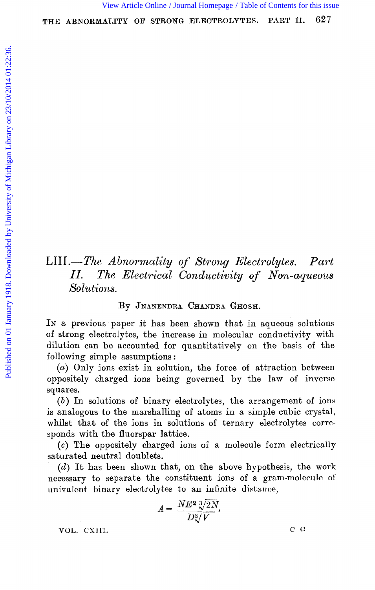# LTII.-The *Abnownality of Strong Electrolytes. Part II. The Electrical Conductivity oj' Nori-aqueous Solutions.*

#### By **JNANENDRA CHANDRA GHOSH.**

In a previous paper it has been shown that in aqueous solutions of strong electrolytes, the increase in molecular conductivity with dilution can be accounted for quantitatively on the basis of the following simple assumptions : [View Article Online](http://dx.doi.org/10.1039/ct9181300627) [/ Journal Homepage](http://pubs.rsc.org/en/journals/journal/CT) [/ Table of Contents for this issue](http://pubs.rsc.org/en/journals/journal/CT?issueid=CT1918_113_0)<br>
THE ABNORMALTTY OF STRONG ELECTROLYTES. PART II. 627<br>
SERIES AND CONTROL CONTROL CONTROL CONTROL CONTROL CONTROL CONTROL CONTROL CONTROL CONTROL CO

(a) Only ions exist in solution, the force of attraction between oppositdy charged ions being governed by the law **of** inverse squares.

*(6)* In solutions of binary electrolytes, the arrangement of ions is analogous to the marshalling **of** atoms in a simple cubic: crystal, whilst that of the ions in solutions of ternary electrolytes corresponds with the fluorspar lattice.

*(c)* **The** oppositely charged ions of a molecule form electrically saturated neutral doublets.

*(d')* It has been shown that, on the above hypothesis, the work necessary to separate the constituent ions of a gram-molecule of univalent binary electrolytes to an infinite distance,

$$
A = \frac{NE^2 \sqrt[3]{2N}}{D\sqrt[3]{V}},
$$

VOL. CXIII.

 $C$   $C$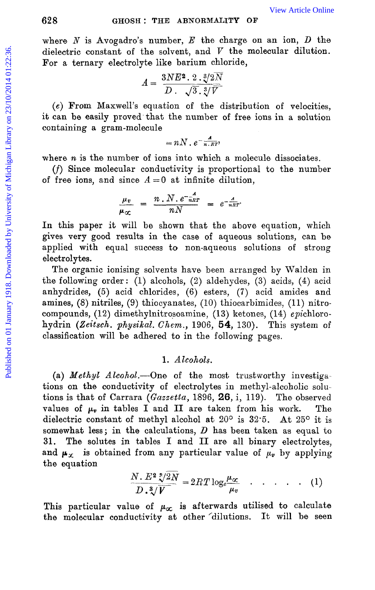where  $N$  is Avogadro's number,  $E$  the charge on an ion,  $D$  the dielectric constant of the solvent, and  $V$  the molecular dilution. For a ternary electrolyte like barium chloride,

$$
A = \frac{3NE^2 \cdot 2 \cdot \sqrt[3]{2N}}{D \cdot \sqrt{3 \cdot \sqrt[3]{V}}}
$$

*(e)* From Maxwsll's equation of the distribution of velocities, it can be easily proved that the number of free ions in a solution containing a gram-molecule

$$
= nN \cdot e^{-\frac{A}{n.RT}}
$$

where  $n$  is the number of ions into which a molecule dissociates.

 $(f)$  Since molecular conductivity is proportional to the number of free ions, and since  $A = 0$  at infinite dilution,

$$
\frac{\mu_v}{\mu_{\infty}} = \frac{n \cdot N \cdot e^{-\frac{A}{nRT}}}{nN} = e^{-\frac{A}{nRT}}.
$$

In this paper it will be shown that the above equation, which gives very good results in **the** case of aqueous solutions, can be applied with equal success to non-aqueous solutions of strong electrolytes.

The organic ionising solvents have been arranged by Walden in the following order : (1) alcohols, *(2)* aldehydes, *(3)* acids, *(4)* acid anhydrides, *(5)* acid chlorides, (6) esters, **(7)** acid amides and amines,  $(8)$  nitriles,  $(9)$  thiocyanates,  $(10)$  thiocarbimides,  $(11)$  nitrocompounds, (12) dimethylnitrosoamine, (13) ketones, (14) epichlorohydrin (Zeitsch. *physikal. Chem.,* 1906, **54,** 130). This system of classification will be adhered to in the following pages. **EXECT THE ABYORMALTTY OF**<br>
Where *N* is Avogadro's number, *E* the charge on an ion, *D* the<br>
dielectric constant of the solvent, and *V* the molecular dilution.<br>
For a ternary electrolyte like barrien chloride,<br>  $A = \frac{3$ 

## **1.** *Alcohols.*

(a) *Methyl Alcohol*.—One of the most trustworthy investigations on the conductivity of electrolytes in methyl-alcoholic solutions is that of Carrara *(Gazaetta,* 1896, **26,** i, 119). The observed values of  $\mu_v$  in tables I and II are taken from his work. The dielectric constant of methyl alcohol at 20° is 32.5. At 25° it is somewhat less; in the calculations, *D* has been taken as equal to **31.** The solutes in tables I and **I1** are all binary electrolytes, and  $\mu_{\chi}$  is obtained from any particular value of  $\mu_{\nu}$  by applying the equation

$$
\frac{N. E^2 \sqrt[8]{2N}}{D. \sqrt[8]{V}} = 2RT \log_e \frac{\mu_{\alpha}}{\mu_v} \qquad (1)
$$

This particular value of  $\mu_{\infty}$  is afterwards utilised to calculate the molecular conductivity at other dilutions. It will be seen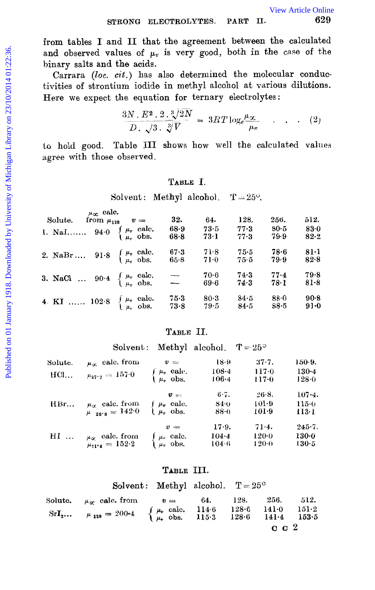$$
\frac{3N \cdot E^2 \cdot 2 \cdot \sqrt[3]{2N}}{D \cdot \sqrt{3} \cdot \sqrt[3]{V}} = 3RT \log_e \frac{\mu_{\infty}}{\mu_v} \qquad (2)
$$

#### **TABLE** I.

|                 | from tables I and II that the agreement between the calculated<br>and observed values of $\mu_v$ is very good, both in the case of the<br>binary salts and the acids.<br>Carrara (loc. cit.) has also determined the molecular conduc-<br>tivities of strontium iodide in methyl alcohol at various dilutions.<br>Here we expect the equation for ternary electrolytes: |                                                                                                                                                                |                       |                          |                        |                          |
|-----------------|-------------------------------------------------------------------------------------------------------------------------------------------------------------------------------------------------------------------------------------------------------------------------------------------------------------------------------------------------------------------------|----------------------------------------------------------------------------------------------------------------------------------------------------------------|-----------------------|--------------------------|------------------------|--------------------------|
|                 |                                                                                                                                                                                                                                                                                                                                                                         | $\frac{3N \cdot E^2 \cdot 2 \cdot \sqrt[3]{2N}}{D \cdot \sqrt{3} \cdot \sqrt[3]{V}} = 3RT \log_e \frac{\mu_{\infty}}{\mu_v} \quad . \quad . \quad . \quad (2)$ |                       |                          |                        |                          |
|                 | to hold good. Table III shows how well the calculated values<br>agree with those observed.                                                                                                                                                                                                                                                                              |                                                                                                                                                                |                       |                          |                        |                          |
|                 |                                                                                                                                                                                                                                                                                                                                                                         | TABLE I.                                                                                                                                                       |                       |                          |                        |                          |
|                 |                                                                                                                                                                                                                                                                                                                                                                         | Solvent: Methyl alcohol. $T = 25^{\circ}$ .                                                                                                                    |                       |                          |                        |                          |
|                 | $\mu_{\infty}$ calc.<br>Solute. from $\mu_{128}$ $v =$<br>1. NaI $94.0 \begin{cases} \mu_v & \text{calc.} \\ \mu_v & \text{obs.} \end{cases}$                                                                                                                                                                                                                           | 32.<br>$68-9$<br>$68-8$                                                                                                                                        | 64.<br>73.5<br>$73-1$ | 128.<br>$77 - 3$<br>77.3 | 256.<br>$80-5$<br>79.9 | 512.<br>83.0<br>$82 - 2$ |
|                 | 2. NaBr 91.8 $\begin{cases} \mu_v & \text{calc.} \\ \mu_v & \text{obs.} \end{cases}$                                                                                                                                                                                                                                                                                    | 67.3<br>65.8                                                                                                                                                   | 71.8<br>$71-0$        | 75.5<br>75.5             | $78 - 6$<br>79.9       | $81-1$<br>82.8           |
|                 | 3. NaCl  90.4 $\begin{cases} \mu_v & \text{calc.} \ \mu_v & \text{obs.} \end{cases}$                                                                                                                                                                                                                                                                                    |                                                                                                                                                                | 70.6<br>69.6          | 74.3<br>74.3             | 77.4<br>78.1           | 79.8<br>$81-8$           |
|                 | 4 KI  102.8 $\begin{cases} \mu_v & \text{calc.} \\ \mu_v & \text{obs.} \end{cases}$                                                                                                                                                                                                                                                                                     | $75-3$<br>73.8                                                                                                                                                 | $80-3$<br>79.5        | $84-5$<br>84.5           | $88-0$<br>88.5         | $90-8$<br>$91 - 0$       |
|                 |                                                                                                                                                                                                                                                                                                                                                                         | TABLE II.                                                                                                                                                      |                       |                          |                        |                          |
|                 |                                                                                                                                                                                                                                                                                                                                                                         | Solvent: Methyl alcohol. $T = 25^{\circ}$                                                                                                                      |                       |                          |                        |                          |
| Solute.<br>HCl… | $\mu_{\infty}$ calc. from<br>$\mu_{37} = 157.0$                                                                                                                                                                                                                                                                                                                         | $v =$<br>$\int \mu_v$ cale.                                                                                                                                    | 18.9<br>$108 - 4$     |                          | 37.7.<br>117.0         | 150-9.<br>$130 - 4$      |

|                            | $v =$                                                                                                 | 18.9                                                                                                                                               | 37.7.     | $150-9.$   |
|----------------------------|-------------------------------------------------------------------------------------------------------|----------------------------------------------------------------------------------------------------------------------------------------------------|-----------|------------|
|                            |                                                                                                       | $108 - 4$                                                                                                                                          | $117 - 0$ | $130 - 4$  |
|                            |                                                                                                       | 106.4                                                                                                                                              | $117 - 0$ | 128-0      |
|                            | $v =$                                                                                                 | $6 - 7.$                                                                                                                                           | $26-8.$   | $107 - 4.$ |
|                            | $\mu_v$ calc.                                                                                         | 84.0                                                                                                                                               | $101-9$   | 115.0      |
| $\mu_{\text{gas}} = 142.0$ | $\mu_v$ obs.                                                                                          | 88.0                                                                                                                                               | $101-9$   | 113-1      |
|                            | $v =$                                                                                                 | $17-9.$                                                                                                                                            | $71-4.$   | $245 - 7.$ |
|                            |                                                                                                       | $104 - 4$                                                                                                                                          | $120-0$   | 130-0      |
| $\mu_{71/4} = 152.2$       |                                                                                                       | 104.6                                                                                                                                              | $120-0$   | 130-5      |
|                            | $\mu_{\infty}$ calc. from<br>$\mu_{37} = 157.0$<br>$\mu_{\alpha}$ calc. from<br>$\mu_{cr}$ calc. from | $\begin{cases} \mu_v & \text{calc.} \\ \mu_v & \text{obs.} \end{cases}$<br>$\begin{cases} \mu_v & \text{calc.} \\ \mu_v & \text{obs.} \end{cases}$ |           |            |

#### **TABLE** 111.

|                                                                                                                                                                                                                                                                                     | Solvent: Methyl alcohol. $T = 25^{\circ}$ |  |                       |  |
|-------------------------------------------------------------------------------------------------------------------------------------------------------------------------------------------------------------------------------------------------------------------------------------|-------------------------------------------|--|-----------------------|--|
| Solute. $\mu_{\alpha}$ calc. from $v = 64$ . 128. 256. 512.<br>SrI <sub>2</sub> $\mu_{128} = 200.4$ $\begin{cases} \mu_v \text{ calc.} & 114.6 \text{ } 128.6 \text{ } 141.0 \text{ } 151.2 \\ \mu_v \text{ obs.} & 115.3 \text{ } 128.6 \text{ } 141.4 \text{ } 153.5 \end{cases}$ |                                           |  | $\alpha$ $\alpha$ $2$ |  |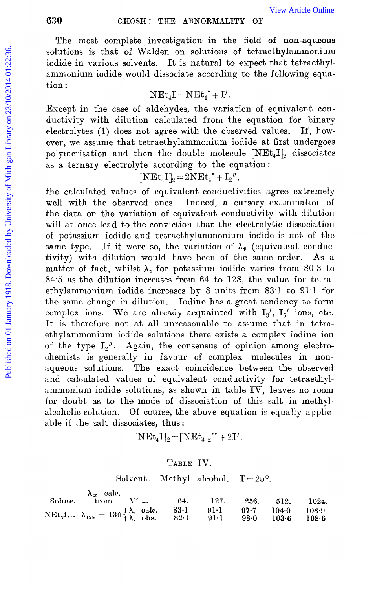#### **630 GHOSH: THE ABNORMALITY OF**

The most oomplete investigation in the field of non-aqueous solutions is that of Walden on solutions of tetraethylammonium iodide in various solvents. It is natural to expect that tetraethylammonium iodide would dissociate according to the following equation :

$$
\mathrm{N}\mathrm{E}\mathrm{t}_{4}\mathrm{I}=\mathrm{N}\mathrm{E}\mathrm{t}_{4}^{*}+\mathrm{I}^{\prime}.
$$

Except in the case of aldehydes, the variation of equivalent conductivity with dilution calculated from the equation for binary electrolytes  $(1)$  does not agree with the observed values. If, however, we assume that tetraethylammonium iodide at first undergoes polymerisation and then the double molecule  $[NEt_4I]_2$  dissociates as a ternary electrolyte according to the equation:

$$
[\mathbf{NEt}_4\mathbf{I}]_2 = 2\mathbf{NEt}_4^{\dagger} + \mathbf{I}_2{}''
$$

the calculated values of equivalent conductivities agree extremely well with the observed ones. Indeed, a cursory examination of the data on the variation of equivalent conductivity with dilution will at once lead to the conviction that the electrolytic dissociation of potassium iodide and tetraethylammonium iodide is not of the same type. If it were so, the variation of  $\lambda_v$  (equivalent conductivity) with dilution would have been of the same order. As a matter of fact, whilst  $\lambda_v$  for potassium iodide varies from 80.3 to 84-5 as the dilution increases from 64 to 128, the value for tetraethylammonium iodide increases by 8 units from **83.1** to 91.1 for the same change in dilution. Iodine has a great tendency to form complex ions. We are already acquainted with  $I_2$ ',  $I_5$ ' ions, etc. It is therefore not at all unreasonable to assume that in tetraethylammonium iodide solutions there exists a complex iodine ion of the type  $I_2$ <sup>"</sup>. Again, the consensus of opinion among electrochemists is generally in favour of complex molecules in nonaqueous solutions. The exact coincidence between the observed and calculated values of equivalent conductivity for tetraethylammonium iodide solutions, as shown in table IV, leaves no room for doubt as to the mode of dissociation of this salt in methylalcoholic solution. Of course, the above equation is equally applicable if the salt dissociates, thus: Solutions is that of Wein-Article Online<br>
Fue Article Online<br>
Solutions is that of Walden on solutions of tekrate<br>hylammonium iodide would dissociate according to the following equal<br>
ion is ammonium iodide would dissocia

 $[\text{NEt}_4 \text{I}]_2 = [\text{NEt}_4]_2$ <sup>\*</sup> + 2I'.

#### **TABLE** IV.

Solvent: Methyl alcohol.  $T = 25^{\circ}$ .

| $\lambda_{\infty}$ calc.                                                                                                                                       |  |  |  |
|----------------------------------------------------------------------------------------------------------------------------------------------------------------|--|--|--|
| Solute, from $V' = 64$ , 127, 256, 512, 1024,                                                                                                                  |  |  |  |
| NEt <sub>4</sub> I $\lambda_{128} = 130 \begin{cases} \lambda_v & \text{calc.} \ 83.1 & 91.1 \ 97.7 & 104.0 \ 108.9 \end{cases}$<br>92.1 91.1 98.0 103.6 108.6 |  |  |  |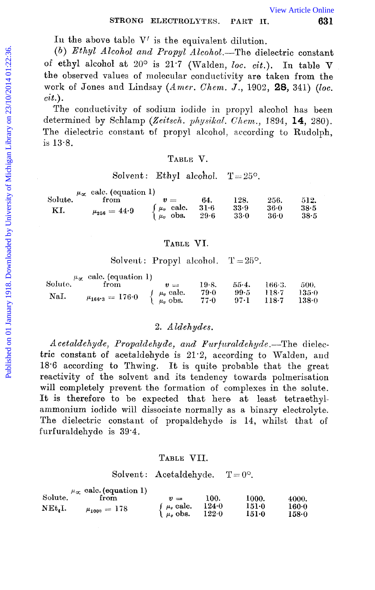**Iu** the above table V' is the equivalent dilution.

*(b) Ethyl Alcohol and Propyl Alcohol.-The* dielectric constant of ethyl alcohol at  $20^{\circ}$  is  $21.7$  (Walden, *loc. cit.*). In table V the observed values of molecular conductivity are taken from the work of Jones and Lindsay *(Amer. Chem. J.,* 1902, **28**, 341) *(loc. cit.).*  **EXECTRONG ELECTROLYTES.** PART IT.<br>
(b) *Ethayl Alcohol and Propyl Alcohol* ...The dielectric constant<br>
of ethyl alcohol at 20<sup>0</sup> is 217 (Walden, loc. cit.). In table V<br>
were of ethal work of Jones and Lindsay (*Amer. Che* 

The conductivity of sodium iodide in propyl alcohol has been determined by Schlamp *(Zeitsch. physikal. Chem.*, 1894, 14, 280). The dielectric constant of propyl alcohol, according to Rudolph, is 13.8.

#### **TABLE** V.

#### Solvent: Ethyl alcohol.  $T = 25^\circ$ .

|         | $\mu_{\alpha}$ calc. (equation 1) |                                                                                           |                |                  |                |              |
|---------|-----------------------------------|-------------------------------------------------------------------------------------------|----------------|------------------|----------------|--------------|
| Solute. | from                              | $\boldsymbol{v}$ $\boldsymbol{v}$                                                         | 64.            | 128.             | 256.           | 512.         |
| KI.     | $\mu_{256}=44.9$                  | $\left\{\begin{array}{ll} \mu_v & \text{calc.} \\ \mu_v & \text{obs.} \end{array}\right.$ | $31-6$<br>29.6 | 33.9<br>$33 - 0$ | 36.0<br>$36-0$ | 38.5<br>38.5 |

#### **TABLE VT.**

|         | $\mu_{\alpha}$ cale. (equation 1) |                                                                                       |       |              |         |       |
|---------|-----------------------------------|---------------------------------------------------------------------------------------|-------|--------------|---------|-------|
| Solute. | from                              | $v =$                                                                                 | 19.8. | $55-4.$      | 166.3.  | 500.  |
| NaI.    |                                   | $\left\{\begin{array}{c} \mu_v \text{ calc.} \ \mu_v \text{ obs.} \end{array}\right.$ | 79.0  | 99.5         | - 118.7 | 135-0 |
|         | $\mu_{166 \cdot 3} = 176 \cdot 0$ |                                                                                       | 77.0  | $97 \cdot 1$ | $118-7$ | 138 0 |

#### *2. Aldehydes.*

*A cetaldehyde, Propaldehyde, and Furfuraldehyde.* The dielectric constant of acetaldehyde is 21.2, according to Walden, and  $18.6$  according to Thwing. It is quite probable that the great reactivity of the solvent and its tendency towards polmerisation will completely prevent the formation of complexes in the solute. It is therefore to be expected that here at least tetraethylammonium iodide will dissociate normally as a binary electrolyte. The dielectric constant of propaldehyde is 14, whilst that of furfuraldehyde is **39.4.** 

#### **TABLE** VII.

#### Solvent: Acetaldehyde.  $T = 0^\circ$ .

|                                 | $\mu_{\alpha}$ calc. (equation 1) |                               |                |                  |                 |
|---------------------------------|-----------------------------------|-------------------------------|----------------|------------------|-----------------|
| Solute.                         | from                              | $v =$                         | 100.           | 1000.            | 4000.           |
| NEt <sub>4</sub> I <sub>2</sub> | $\mu_{1000} = 178$                | $\mu_v$ calc.<br>$\mu_n$ obs. | 124.0<br>122.0 | $151-0$<br>151-0 | 160-0<br>158-0- |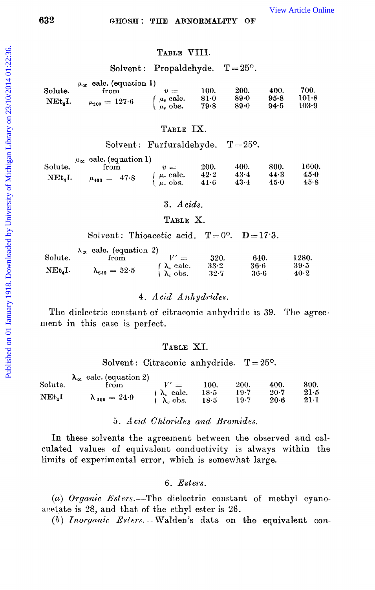# TABLE VIII.

#### Solvent: Propaldehyde.  $T = 25^\circ$ .

|                  | $\mu_{\infty}$ calc. (equation 1) |                    |        |        |      |       |
|------------------|-----------------------------------|--------------------|--------|--------|------|-------|
| Solute.          | from                              | $v =$              | 100.   | 200.   | 400. | 700.  |
| $NEt_{\alpha}I.$ |                                   | $\int \mu_v$ calc. | $81-0$ | $89-0$ | 95.8 | 101.8 |
|                  | $\mu_{200}=127{\cdot}6$           | $\mu_{\nu}$ obs.   | 79.8   | 89.0   | 94.5 | 103.9 |

# TABLE IX.

Solvent: Furfuraldehyde.  $T = 25^{\circ}$ .

|             | $\mu_{\alpha}$ calc. (equation 1) |                  |      |      |      |       |
|-------------|-----------------------------------|------------------|------|------|------|-------|
| Solute.     | trom                              | $\eta =$         | 200. | 400. | 800. | 1600. |
| $NEt_{A}I.$ |                                   | $\int u_n$ calc. | 42.2 | 43.4 | 44.3 | 45.0  |
|             | $\mu_{400} = 47.8$                | $\mu_n$ obs.     | 41.6 | 43.4 | 45.0 | 45.8  |

#### $3. \; A \, cids.$

#### TABLE X.

Solvent: Thioacetic acid.  $T=0^{\circ}$ .  $D=17.3$ .

|                     | $\lambda_{\alpha}$ calc. (equation 2) |                                            |              |              |              |
|---------------------|---------------------------------------|--------------------------------------------|--------------|--------------|--------------|
| Solute.             | trom                                  | $\frac{1}{2}$                              | 320.         | 640.         | 1280.        |
| NEt <sub>a</sub> I. | $\lambda_{\text{min}} = 52.5$         | $\int \lambda_n$ calc.<br>$\lambda_n$ obs. | 33-2<br>32 7 | 36.6<br>36.6 | 39·5<br>40.2 |

#### 4. Acid Anhydrides.

The dielectric constant of citraconic anhydride is 39. The agreement in this case is perfect.

#### TABLE XI.

Solvent: Citraconic anhydride.  $T = 25^{\circ}$ .

|            | $\lambda_{\alpha}$ calc. (equation 2) |                        |      |      |        |              |
|------------|---------------------------------------|------------------------|------|------|--------|--------------|
| Solute.    | from                                  | $\equiv$               | 100. | 200. | 400.   | 800.         |
|            |                                       | $\int \lambda_v$ calc. | 18·5 | 19.7 | $20-7$ | $21 - 5$     |
| $NEt_{4}I$ | $\lambda_{200} = 24.9$                | $\lambda_n$ obs.       | 18.5 | 19-7 | $20-6$ | $21 \cdot 1$ |

## 5. Acid Chlorides and Bromides.

In these solvents the agreement between the observed and calculated values of equivalent conductivity is always within the limits of experimental error, which is somewhat large.

#### $6.$  *Esters.*

(a) Organic Esters.—The dielectric constant of methyl cyanoacetate is 28, and that of the ethyl ester is 26.

 $(b)$  Inorganic Esters. Walden's data on the equivalent con-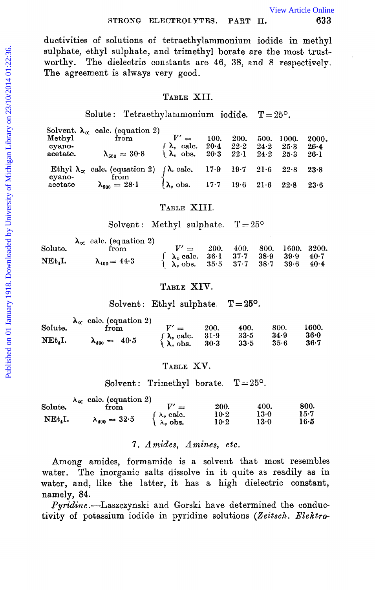ductivities of solutions of tetraethylammonium iodide in methyl sulphate, ethyl sulphate, and trimethyl borate are the most trustworthy. The dielectric constants are 46, 38, and 8 respectively. The agreement is always very good.

#### TABLE XII.

Solute: Tetraethylammonium iodide.  $T = 25^\circ$ .

| Methyl<br>cyano-<br>acetate. | Solvent. $\lambda_{\alpha}$ calc. (equation 2)<br>from<br>$\lambda_{500} = 30.8$              | $V' =$<br>$\int \lambda_v$ calc.<br>$\lambda$ , obs. | 100.<br>$20 - 4$ | 200.<br>22.2<br>$20.3$ $22.1$ | 500.<br>$24-2$<br>24.2 | 1000.<br>25.3<br>25.3 | 2000.<br>$26 - 4$<br>$26 \cdot 1$ |
|------------------------------|-----------------------------------------------------------------------------------------------|------------------------------------------------------|------------------|-------------------------------|------------------------|-----------------------|-----------------------------------|
|                              | Ethyl $\lambda_{\alpha}$ calc. (equation 2) $\int \lambda_{\nu}$ calc. 17.9 19.7 21.6<br>from |                                                      |                  |                               |                        | 22.8                  | 23.8                              |
| cyano-<br>acetate            | $\lambda_{500} = 28.1$                                                                        | $\lambda_{\nu}$ obs. 17.7 19.6                       |                  |                               | $21-6$                 | 22.8                  | 23.6                              |

#### TABLE XIII.

Solvent: Methyl sulphate.  $T = 25^{\circ}$ 

| Solute.                                  | $\lambda_{\alpha}$ calc. (equation 2)<br>from | $V' =$                                                                                                                                                                                                        |  | 200. 400. 800. 1600. 3200. |  |
|------------------------------------------|-----------------------------------------------|---------------------------------------------------------------------------------------------------------------------------------------------------------------------------------------------------------------|--|----------------------------|--|
| $\operatorname{NEt}_4\operatorname{I}_*$ | $\lambda_{400} = 44.3$                        | $\begin{cases} \lambda_v \text{ calc. } 36 \cdot 1 & 37 \cdot 7 & 38 \cdot 9 & 39 \cdot 9 & 40 \cdot 7 \\ \lambda_v \text{ obs. } 35 \cdot 5 & 37 \cdot 7 & 38 \cdot 7 & 39 \cdot 6 & 40 \cdot 4 \end{cases}$ |  |                            |  |

#### TABLE XIV.

Solvent: Ethyl sulphate.  $T = 25^{\circ}$ .

| Solute. | $\lambda_{\alpha}$ calc. (equation 2) | $V' =$                 |        | 400. | 800. | 1600.    |
|---------|---------------------------------------|------------------------|--------|------|------|----------|
|         | from                                  |                        | 200.   |      |      |          |
| NEt.I.  |                                       | $\int \lambda_v$ calc. | 31.9   | 33.5 | 34.9 | $36 - 0$ |
|         | $\lambda_{400} = 40.5$                | $\lambda$ , obs.       | $30-3$ | 33.5 | 35-6 | 36.7     |

#### TABLE XV.

Solvent: Trimethyl borate.  $T = 25^{\circ}$ .

|         | $\lambda_{\alpha}$ calc. (equation 2) |                  |      |      |      |
|---------|---------------------------------------|------------------|------|------|------|
| Solute. | trom                                  | -                | 200. | 400. | 800. |
|         |                                       | $\Delta_v$ calc. | 10.2 | 13-0 | 15-7 |
| NEt.I.  | $\lambda_{400} = 32.5$                | $\lambda_n$ obs. | 10-2 | 13 0 | 16•5 |

# 7. Amides, Amines, etc.

Among amides, formamide is a solvent that most resembles water. The inorganic salts dissolve in it quite as readily as in water, and, like the latter, it has a high dielectric constant, namely, 84.

*Pyridine*.-Laszczynski and Gorski have determined the conductivity of potassium iodide in pyridine solutions (Zeitsch. Elektro-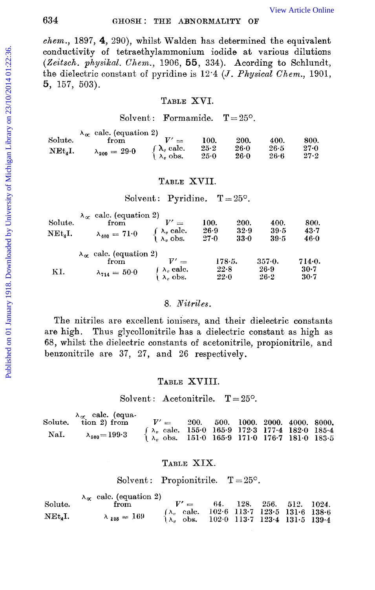#### GHOSH: THE ABNORMALITY OF

 $chem.$ , 1897, 4, 290), whilst Walden has determined the equivalent conductivity of tetraethylammonium iodide at various dilutions (Zeitsch. physikal. Chem., 1906, 55, 334). Acording to Schlundt, the dielectric constant of pyridine is  $12.4$  (*J. Physical Chem.*, 1901,  $5, 157, 503$ ).

#### TABLE XVI.

#### Solvent: Formamide.  $T = 25^{\circ}$ .

|             | $\lambda_{\alpha}$ calc. (equation 2) |                                            |              |                |                |                  |
|-------------|---------------------------------------|--------------------------------------------|--------------|----------------|----------------|------------------|
| Solute.     | from                                  | $\sim$                                     | 100.         | 200.           | 400.           | 800.             |
| $NEt_{4}I.$ | $\lambda_{200} = 29.0$                | $\int \lambda_v$ calc.<br>$\lambda_n$ obs. | 25.2<br>25.0 | $26-0$<br>26.0 | 26.5<br>$26-6$ | $27 - 0$<br>27.2 |
|             |                                       |                                            |              |                |                |                  |

#### TABLE XVII.

# Solvent: Pyridine.  $T = 25^{\circ}$ .

|                                                  | $\lambda_{\alpha}$ calc. (equation 2) |                                                                                                |        |      |          |        |
|--------------------------------------------------|---------------------------------------|------------------------------------------------------------------------------------------------|--------|------|----------|--------|
| Solute.                                          | from                                  | $V' =$                                                                                         | 100.   | 200. | 400.     | 800.   |
| $\operatorname{NEt}_{\scriptscriptstyle{A}}\!I.$ | $\lambda_{400} = 71.0$                |                                                                                                | 26.9   | 32.9 | 39.5     | 43.7   |
|                                                  |                                       | $\left\{\begin{array}{l} \lambda_v \text{ calc.} \\ \lambda_v \text{ obs.} \end{array}\right.$ | 27.0   | 33.0 | $39 - 5$ | 46.0   |
|                                                  | $\lambda_{\alpha}$ calc. (equation 2) |                                                                                                |        |      |          |        |
|                                                  | from                                  | $\overline{1}$                                                                                 | 178.5. |      | 357.0.   | 714.0. |
| KI.                                              | $\lambda_{714} = 50.0$                | $\wedge$ $\lambda_v$ calc.                                                                     | 22.8   |      | 26.9     | $30-7$ |
|                                                  |                                       | $\lambda$ . obs.                                                                               | 22-0   |      | 26.2     | 30-7   |

#### 8 Nitriles

The nitriles are excellent ionisers, and their dielectric constants Thus glycollonitrile has a dielectric constant as high as are high. 68, whilst the dielectric constants of acetonitrile, propionitrile, and benzonitrile are 37, 27, and 26 respectively.

# TABLE XVIII.

#### Solvent: Acetonitrile.  $T = 25^\circ$ .

|      | $\lambda_{\alpha}$ calc. (equa-<br>Solute. tion 2) from | $V' =$                                                                                                             | 200. |  | 500. 1000. 2000. 4000. 8000. |  |
|------|---------------------------------------------------------|--------------------------------------------------------------------------------------------------------------------|------|--|------------------------------|--|
| NaI. | $\lambda_{500} = 199.3$                                 | $\int \lambda_r$ calc. 155.0 165.9 172.3 177.4 182.0 185.4<br>$\lambda_n$ obs. 151.0 165.9 171.0 176.7 181.0 183.5 |      |  |                              |  |

#### TABLE XIX.

Solvent: Propionitrile.  $T=25^{\circ}$ .

|                     | $\lambda_{\alpha}$ calc. (equation 2) |        |                                                                                                                                                                                         |                      |  |
|---------------------|---------------------------------------|--------|-----------------------------------------------------------------------------------------------------------------------------------------------------------------------------------------|----------------------|--|
| Solute.             | ${\rm from}$                          | $V' =$ | 64.                                                                                                                                                                                     | 128. 256. 512. 1024. |  |
|                     |                                       |        | $\begin{cases} \lambda_v & \text{calc.} \quad 102.6 & 113.7 \quad 123.5 & 131.6 \quad 138.6 \\ \lambda_v & \text{obs.} \quad 102.0 & 113.7 \quad 123.4 & 131.5 \quad 139.4 \end{cases}$ |                      |  |
| NEt <sub>4</sub> I. | $\lambda_{128} = 169$                 |        |                                                                                                                                                                                         |                      |  |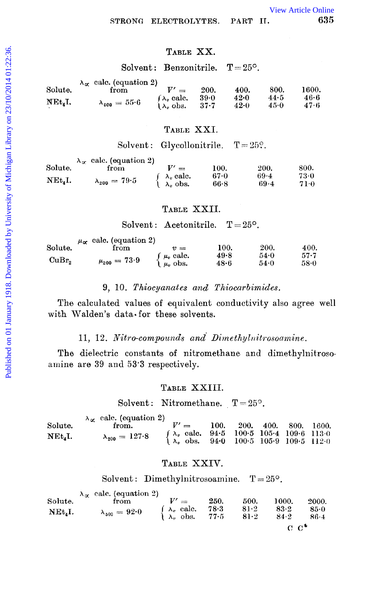# TABLE XX.

Solvent: Benzonitrile.  $T = 25^{\circ}$ .

|         | $\lambda_{\alpha}$ calc. (equation 2) |                        |             |        |      |       |
|---------|---------------------------------------|------------------------|-------------|--------|------|-------|
| Solute. | from                                  | $\equiv$               | <b>200.</b> | 400.   | 800. | 1600. |
|         |                                       | $\int \lambda_v$ calc. | 39.0        | 42.0   | 44.5 | 46.6  |
| NEt.I.  | $\lambda_{400} = 55.6$                | $\lambda_v$ obs.       | $37 - 7$    | $42-0$ | 45.0 | 47.6  |

# TABLE XXI.

Solvent: Glycollonitrile.  $T = 25$ <sup>o</sup>.

|            | $\lambda_{\alpha}$ calc. (equation 2) |                                       |              |                |               |
|------------|---------------------------------------|---------------------------------------|--------------|----------------|---------------|
| Solute.    | from                                  | $\overline{\phantom{a}}$              | 100.         | 200.           | 800.          |
| $NEt_4I$ . | $\lambda_{200} = 79.5$                | $\lambda_v$ calc.<br>$\lambda_v$ obs. | 67.0<br>66.8 | $69-4$<br>69.4 | -73-0<br>71.0 |

# TABLE XXII.

Solvent: Acetonitrile.  $T=25^{\circ}$ .

|                   | $\mu_{\alpha}$ calc. (equation 2) |                               |      |      |          |
|-------------------|-----------------------------------|-------------------------------|------|------|----------|
| Solute.           | from                              | $\eta =$                      | 100. | 200. | 400.     |
|                   |                                   |                               | 49.8 | 54.0 | $57 - 7$ |
| CuBr <sub>2</sub> | $\mu_{200} = 73.9$                | $\mu_v$ calc.<br>$\mu_v$ obs. | 48∙6 | 54.0 | 58.0     |

#### 9, 10. Thiocyanates and Thiocarbimides.

The calculated values of equivalent conductivity also agree well with Walden's data for these solvents.

#### 11, 12. Nitro-compounds and Dimethylnitrosoamine.

The dielectric constants of nitromethane and dimethylnitrosoamine are 39 and 53.3 respectively.

#### TABLE XXIII.

Solvent: Nitromethane.  $T = 25^{\circ}$ .

|           | $\lambda_{\alpha}$ calc. (equation 2) |                                                                                                                                                                                                   |      |                      |  |
|-----------|---------------------------------------|---------------------------------------------------------------------------------------------------------------------------------------------------------------------------------------------------|------|----------------------|--|
| Solute.   | from.                                 | $V' =$                                                                                                                                                                                            | 100. | 200. 400. 800. 1600. |  |
| $NEt_4I.$ |                                       |                                                                                                                                                                                                   |      |                      |  |
|           | $\lambda_{200} = 127.8$               | $\begin{cases} \lambda_v & \text{calc.} \quad 94.5 & 100.5 \quad 105.4 \quad 109.6 \quad 113.0 \\ \lambda_v & \text{obs.} \quad 94.0 \quad 100.5 \quad 105.9 \quad 109.5 \quad 112.0 \end{cases}$ |      |                      |  |

#### TABLE XXIV.

Solvent: Dimethylnitrosoamine.  $T = 25^{\circ}$ .

| Solute.     | $\lambda_{\alpha}$ calc. (equation 2)<br>from | $\mathbf{L}^{\prime}$<br>$\sim$ | 250.                                                                                             | 500. | 1000.               | 2000.              |
|-------------|-----------------------------------------------|---------------------------------|--------------------------------------------------------------------------------------------------|------|---------------------|--------------------|
| $NEt_{4}I.$ | $\lambda_{\,500}\,=\,92{\cdot}0$              |                                 | $\begin{cases} \lambda_v \text{ calc.} & 78.3 \ \lambda_v \text{obs.} & 77.5 \ \end{cases}$ 81.2 |      | 83.2<br>84.2        | $85-0$<br>$86 - 4$ |
|             |                                               |                                 |                                                                                                  |      | $\alpha$ $\alpha^*$ |                    |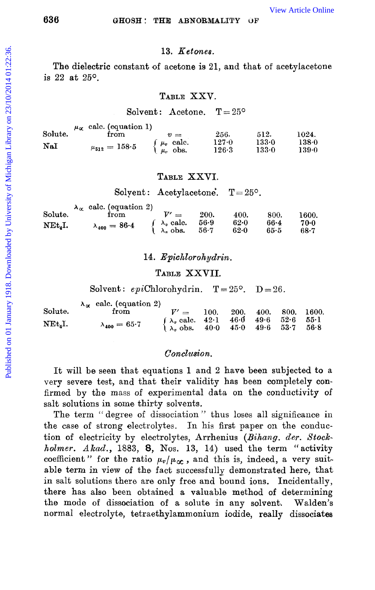## **636 GHOSH** : **THE ABNORMALITY UP'**

#### **13.** *Ketones.*

#### **TABLE** XXV.

#### Solvent: Acetone.  $T = 25^{\circ}$

| 636                     |                                                                                | GHOSH: THE ABNORMALITY                                                                         |                            |                        | ОF                       |              | <b>View Article Online</b> |
|-------------------------|--------------------------------------------------------------------------------|------------------------------------------------------------------------------------------------|----------------------------|------------------------|--------------------------|--------------|----------------------------|
|                         |                                                                                | 13. Ketones.                                                                                   |                            |                        |                          |              |                            |
| is 22 at $25^{\circ}$ . | The dielectric constant of acetone is 21, and that of acetylacetone            |                                                                                                |                            |                        |                          |              |                            |
|                         |                                                                                | TABLE XXV.                                                                                     |                            |                        |                          |              |                            |
|                         |                                                                                | Solvent: Acetone.                                                                              |                            | $T = 25^{\circ}$       |                          |              |                            |
| Solute.<br>NaI          | $\mu_{\alpha}$ calc. (equation 1)<br>from<br>$\mu_{\bf 512}\,=\,158\!\cdot\!5$ | $v =$<br>$\begin{cases} \mu_v & \text{calc.} \\ \mu_v & \text{obs.} \end{cases}$               | 256.<br>127.0<br>126.3     |                        | 512.<br>133.0<br>133.0   |              | 1024.<br>138.0<br>139.0    |
|                         |                                                                                | TABLE XXVI.                                                                                    |                            |                        |                          |              |                            |
|                         |                                                                                | Solyent: Acetylacetone.                                                                        |                            | $T = 25^{\circ}$ .     |                          |              |                            |
| Solute.<br>NEt.I.       | $\lambda_{\alpha}$ calc. (equation 2)<br>from<br>$\lambda_{400} = 86.4$        | $V' =$<br>$\lambda_v$ calc.<br>$\lambda_v$ obs.<br>J.                                          | 200.<br>$56-9$<br>$56 - 7$ | 400.<br>$62-0$<br>62.0 | 800.<br>$66 - 4$<br>65.5 |              | 1600.<br>70.0<br>68.7      |
|                         |                                                                                | 14. Epichlorohydrin.                                                                           |                            |                        |                          |              |                            |
|                         |                                                                                | TABLE XXVII.                                                                                   |                            |                        |                          |              |                            |
|                         | Solvent: $epiChlorohydrin$ . $T=25^{\circ}$ . $D=26$ .                         |                                                                                                |                            |                        |                          |              |                            |
| Solute.                 | $\lambda_{\alpha}$ calc. (equation 2)<br>from                                  | $V' =$                                                                                         | 100.                       | 200.                   | 400.                     | 800.         | 1600.                      |
| $NEt_4I.$               | $\lambda_{400} = 65.7$                                                         | $\left\{\begin{array}{l} \lambda_v \text{ calc.} \\ \lambda_v \text{ obs.} \end{array}\right.$ | $42-1$<br>$40-0$           | $46-0$<br>45.0         | 49.6<br>49.6             | 52.6<br>53.7 | $55-1$<br>56.8             |
|                         |                                                                                | Conclusion.                                                                                    |                            |                        |                          |              |                            |
|                         | It will be seen that equations 1 and 2 have been subjected to a                |                                                                                                |                            |                        |                          |              |                            |

#### **TABLE** XXVI.

|                     | $\lambda_{\alpha}$ calc. (equation 2) |                                                                               |             |          |          |       |
|---------------------|---------------------------------------|-------------------------------------------------------------------------------|-------------|----------|----------|-------|
| Solute.             | trom                                  |                                                                               | <b>200.</b> | 400.     | 800.     | 1600. |
| NEt <sub>a</sub> I. | $\lambda_{400} = 86.4$                | $\begin{cases} \lambda_v \text{ calc.} \\ \lambda_v \text{ obs.} \end{cases}$ | 56-9        | $62 - 0$ | $66 - 4$ | 70.0  |
|                     |                                       |                                                                               | $56 - 7$    | 62.0     | 65.5     | 68.7  |

#### 14. *Epichlorohydrin.*

#### **TABLE XXVII.**

|                     | $\lambda_{\alpha}$ calc. (equation 2) |                                                                                                 |      |  |                              |
|---------------------|---------------------------------------|-------------------------------------------------------------------------------------------------|------|--|------------------------------|
| Solute.             | from                                  | $V' =$                                                                                          | 100. |  | $200.$ $400.$ $800.$ $1600.$ |
| NEt <sub>A</sub> I. | $\lambda_{400} = 65.7$                | $\int \lambda_v \text{ calc.}$ 42.1 46.0 49.6 52.6 55.1<br>$\lambda_v$ obs. 40.0 45.0 49.6 53.7 |      |  | 56.8                         |

#### *Con.clusion.*

It will **be** seen that equations 1 and 2 have been subjected **to** a very severe test, and that their validity has been completely **con**firmed by the mass of experimental data on the conductivity of salt solutions in some thirty solvents.

**The** term '' degree of dissociation '' thus loses all significance in the case of strong electrolytes. In his first paper on the conduction of electricity by electrolytes, Arrhenius *(Bihang.* der. *Stockholmer. Akad.,* **1883,** *8,* Nos. **13,** 14) used the term "activity coefficient" for the ratio  $\mu_v/\mu_\infty$ , and this is, indeed, a very suitable term in view of the fact successfully demonstrated here, that in salt solutions there are only free and bound ions. Incidentally, there has also been obtained a valuable method of determining the mode of dissociation **of** a solute in any solvent,. Walden's normal electrolyte, tetraethylammonium iodide, really dissociates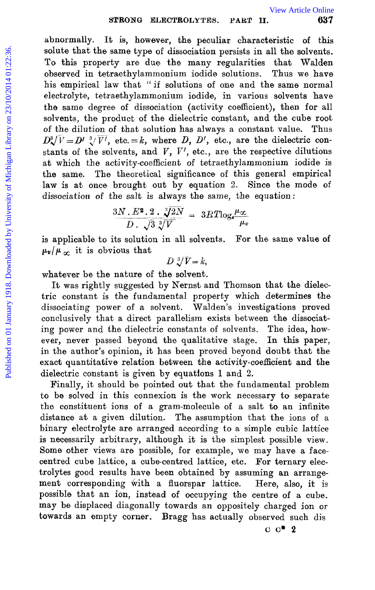abnormally. It is, however, the peculiar characteristic of this solute that the same type of dissociation persists in all the solvents. To this property are due the many regularities that Walden observed in tetraethylammonium iodide solutions. Thus we have his empirical law that "if solutions of one and the same normal electrolyte, tetraethylammonium iodide, in various solvents have the same degree of dissociation (activity coefficient), then for all solvents, the product of the dielectric constant, and the cube root of the dilution of that solution has always a constant value. Thus  $D^3 \sqrt{V} = D^{\prime} \sqrt[3]{V'}$ , etc. = *k*, where *D*, *D'*, etc., are the dielectric constants of the solvents, and  $V$ ,  $V'$ , etc., are the respective dilutions at which the activity-coefficient of tetraethylammonium iodide is the same. The theoretical significance of this general empirical law is at once brought out by equation 2. Since the mode of dissociation **of** the salt is always the same, the equation: STRONG ELECTROLYTES. PART II. Spin and the same to the solute that the same type of dissociation persists in all the solvents.<br>To this property are due to many regularities that Walden Descripts on tetrachylammonium iodid

$$
\frac{3N \cdot E^2 \cdot 2 \cdot \sqrt[3]{2N}}{D \cdot \sqrt{3} \sqrt[3]{V}} = 3RT \log_e \frac{\mu_{\infty}}{\mu_v}
$$

is applicable to its solution in all solvents. For the same value **of**   $\mu_v/\mu_{\alpha}$  it is obvious that

$$
D\sqrt[3]{V}=k,
$$

whatever be the nature of the solvent.

It was rightly suggested by Nernst and Thomson that the dielectric constant is the fundamental property which determines the dissociating power of a solvent. Walden's investigations proved conclusively that a direct parallelism exists between the dissociating power and the dielectric constants of solvents. The idea, however, never passed beyond the qualitative stage. In this paper, in the author's opinion, it has been proved beyond doubt that the exact quantitative relation between the activity-coefficient and **the**  dielectric constant is given by equations 1 and **2.** 

Finally, it should be pointed out that the fundamental problem to be solved in this connexion is the work necessary to separate the constituent ions of a gram-molecule of a salt to an infinite distance at a given dilution. The assumption that the ions of a binary electrolyte are arranged according to a simple cubic lattice is necessarily arbitrary, although it is the simplest possible view. Some other views are possible, for example, we may have a facecentred cube lattice, a cube-centred lattice, etc. For ternary electrolytes good results have been obtained by assuming an arrangement corresponding with a fluorspar lattice. Here, also, it is possible that an ion, instead of occupying the centre **of** a cube. may be displaced diagonally towards an oppositely charged ion or towards an empty corner. Bragg has actually observed such dis